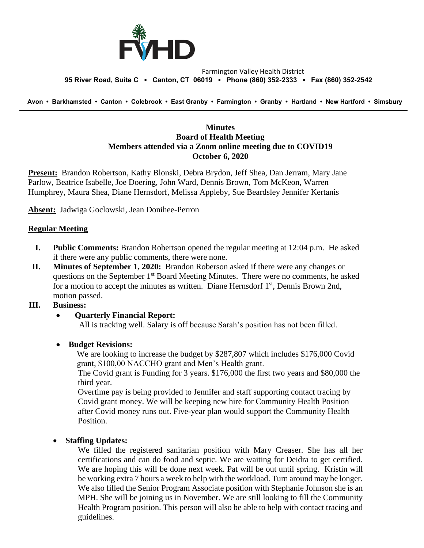

#### Farmington Valley Health District  **95 River Road, Suite C ▪ Canton, CT 06019 ▪ Phone (860) 352-2333 ▪ Fax (860) 352-2542**

 **Avon • Barkhamsted • Canton • Colebrook • East Granby • Farmington • Granby • Hartland • New Hartford • Simsbury**

## **Minutes Board of Health Meeting Members attended via a Zoom online meeting due to COVID19 October 6, 2020**

**Present:** Brandon Robertson, Kathy Blonski, Debra Brydon, Jeff Shea, Dan Jerram, Mary Jane Parlow, Beatrice Isabelle, Joe Doering, John Ward, Dennis Brown, Tom McKeon, Warren Humphrey, Maura Shea, Diane Hernsdorf, Melissa Appleby, Sue Beardsley Jennifer Kertanis

**Absent:** Jadwiga Goclowski, Jean Donihee-Perron

### **Regular Meeting**

- **I. Public Comments:** Brandon Robertson opened the regular meeting at 12:04 p.m. He asked if there were any public comments, there were none.
- **II. Minutes of September 1, 2020:** Brandon Roberson asked if there were any changes or questions on the September  $1<sup>st</sup>$  Board Meeting Minutes. There were no comments, he asked for a motion to accept the minutes as written. Diane Hernsdorf  $1<sup>st</sup>$ , Dennis Brown 2nd, motion passed.

### **III. Business:**

### • **Quarterly Financial Report:**

All is tracking well. Salary is off because Sarah's position has not been filled.

#### • **Budget Revisions:**

We are looking to increase the budget by \$287,807 which includes \$176,000 Covid grant, \$100,00 NACCHO grant and Men's Health grant.

The Covid grant is Funding for 3 years. \$176,000 the first two years and \$80,000 the third year.

Overtime pay is being provided to Jennifer and staff supporting contact tracing by Covid grant money. We will be keeping new hire for Community Health Position after Covid money runs out. Five-year plan would support the Community Health Position.

### • **Staffing Updates:**

We filled the registered sanitarian position with Mary Creaser. She has all her certifications and can do food and septic. We are waiting for Deidra to get certified. We are hoping this will be done next week. Pat will be out until spring. Kristin will be working extra 7 hours a week to help with the workload. Turn around may be longer. We also filled the Senior Program Associate position with Stephanie Johnson she is an MPH. She will be joining us in November. We are still looking to fill the Community Health Program position. This person will also be able to help with contact tracing and guidelines.